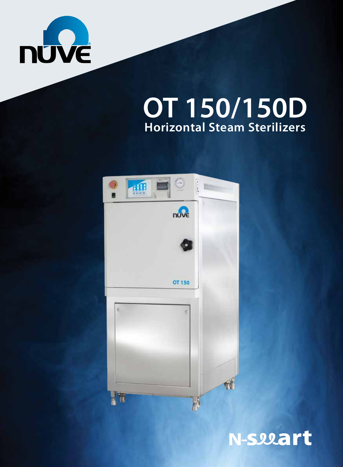

# **Horizontal Steam Sterilizers OT 150/150D**



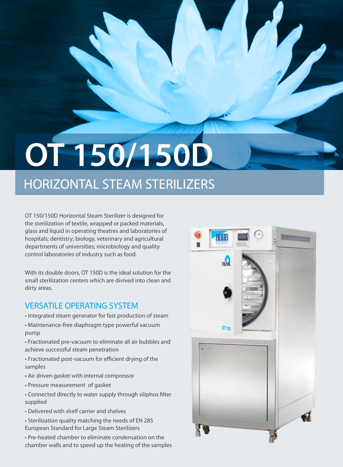# **OT 150/150D**

# HORIZONTAL STEAM STERILIZERS

OT 150/150D Horizontal Steam Sterilizer is designed for the sterilization of textile, wrapped or packed materials, glass and liquid in operating theatres and laboratories of hospitals; dentistry; biology, veterinary and agricultural departments of universities; microbiology and quality control laboratories of industry such as food.

With its double doors, OT 150D is the ideal solution for the small sterilization centers which are divived into clean and dirty areas.

### VERSATILE OPERATING SYSTEM

- Integrated steam generator for fast production of steam
- Maintenance-free diaphragm type powerful vacuum pump
- Fractionated pre-vacuum to eliminate all air bubbles and achieve successful steam penetration
- Fractionated post-vacuum for efficient drying of the samples
- Air driven gasket with internal compressor
- Pressure measurement of gasket
- Connected directly to water supply through siliphos filter supplied
- Delivered with shelf carrier and shelves
- Sterilization quality matching the needs of EN 285 European Standard for Large Steam Sterilizers
- Pre-heated chamber to eliminate condensation on the chamber walls and to speed up the heating of the samples

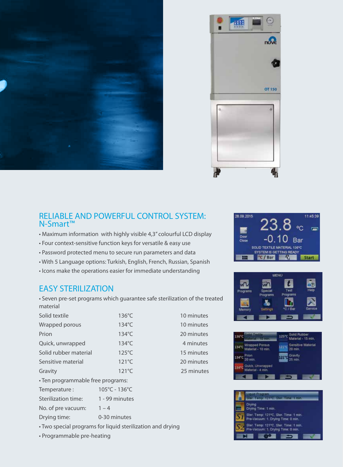



#### RELIABLE AND POWERFUL CONTROL SYSTEM: N-Smart™

- Maximum information with highly visible 4,3'' colourful LCD display
- Four context-sensitive function keys for versatile & easy use
- Password protected menu to secure run parameters and data
- With 5 Language options: Turkish, English, French, Russian, Spanish
- Icons make the operations easier for immediate understanding

#### EASY STERILIZATION

• Seven pre-set programs which guarantee safe sterilization of the treated material

| Solid textile                     | $136^{\circ}$ C | 10 minutes |  |  |  |
|-----------------------------------|-----------------|------------|--|--|--|
| Wrapped porous                    | 134°C           | 10 minutes |  |  |  |
| Prion                             | $134^{\circ}$ C | 20 minutes |  |  |  |
| Quick, unwrapped                  | $134^{\circ}$ C | 4 minutes  |  |  |  |
| Solid rubber material             | $125^{\circ}$ C | 15 minutes |  |  |  |
| Sensitive material                | $121^{\circ}$ C | 20 minutes |  |  |  |
| Gravity                           | $121^{\circ}$ C | 25 minutes |  |  |  |
| • Ten programmable free programs: |                 |            |  |  |  |



 $relat - 4$  mi





| 28.09.2015 |                                                         |      |            | 11:45:31 |
|------------|---------------------------------------------------------|------|------------|----------|
| 70<br>Door |                                                         | 1.10 | <b>Bar</b> |          |
| Close      | SOLID TEXTILE MATERIAL 136°C<br>SYSTEM IS GETTING READY |      |            |          |
|            | °C / Bar                                                |      |            |          |

18.00.301



| No. of pre vacuum: | $1 - 4$      |
|--------------------|--------------|
| Drying time:       | 0-30 minutes |

Temperature : 105°C - 136°C Sterilization time: 1 - 99 minutes

• Two special programs for liquid sterilization and drying

• Programmable pre-heating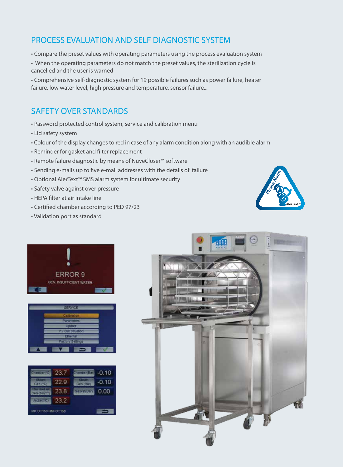# PROCESS EVALUATION AND SELF DIAGNOSTIC SYSTEM

- Compare the preset values with operating parameters using the process evaluation system
- When the operating parameters do not match the preset values, the sterilization cycle is cancelled and the user is warned

• Comprehensive self-diagnostic system for 19 possible failures such as power failure, heater failure, low water level, high pressure and temperature, sensor failure...

# SAFETY OVER STANDARDS

- Password protected control system, service and calibration menu
- Lid safety system
- Colour of the display changes to red in case of any alarm condition along with an audible alarm
- Reminder for gasket and filter replacement
- Remote failure diagnostic by means of NüveCloser™ software
- Sending e-mails up to five e-mail addresses with the details of failure
- Optional AlerText™ SMS alarm system for ultimate security
- Safety valve against over pressure
- HEPA filter at air intake line
- Certified chamber according to PED 97/23
- Validation port as standard









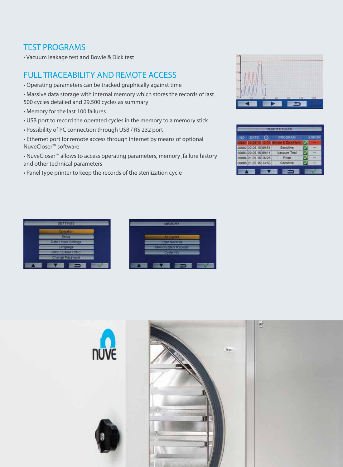### TEST PROGRAMS

• Vacuum leakage test and Bowie & Dick test

# FULL TRACEABILITY AND REMOTE ACCESS

- Operating parameters can be tracked graphically against time
- Massive data storage with internal memory which stores the records of last 500 cycles detailed and 29.500 cycles as summary
- Memory for the last 100 failures
- USB port to record the operated cycles in the memory to a memory stick
- Possibility of PC connection through USB / RS 232 port
- Ethernet port for remote access through internet by means of optional NuveCloser™ software

• NuveCloser™ allows to access operating parameters, memory ,failure history and other technical parameters

• Panel type printer to keep the records of the sterilization cycle